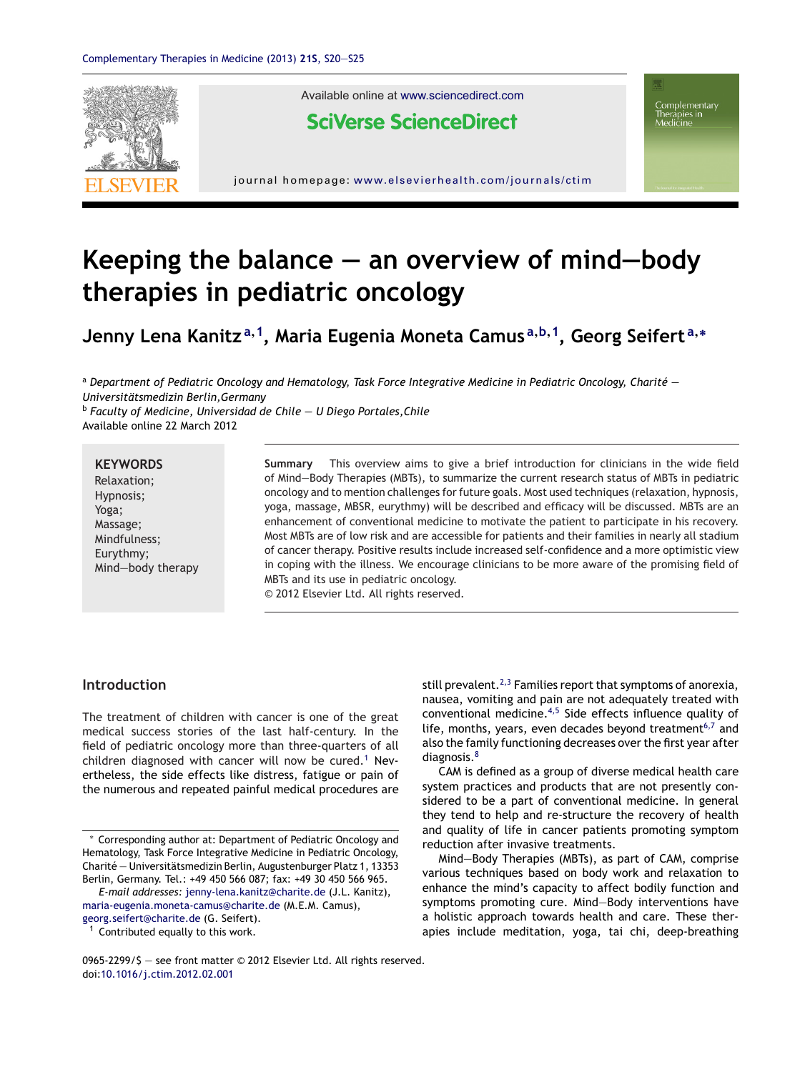

Available online at [www.sciencedirect.com](http://www.sciencedirect.com/science/journal/09652299)

**SciVerse ScienceDirect** 

journal homepage: <www.elsevierhealth.com/journals/ctim>

# **Keeping the balance — an overview of mind—body therapies in pediatric oncology**

**Jenny Lena Kanitz <sup>a</sup>,1, Maria Eugenia Moneta Camus <sup>a</sup>,b,1, Georg Seifert <sup>a</sup>,<sup>∗</sup>**

<sup>a</sup> *Department of Pediatric Oncology and Hematology, Task Force Integrative Medicine in Pediatric Oncology, Charité — Universitätsmedizin Berlin,Germany*

<sup>b</sup> *Faculty of Medicine, Universidad de Chile — U Diego Portales,Chile* Available online 22 March 2012

# **KEYWORDS**

Relaxation; Hypnosis; Yoga; Massage; Mindfulness; Eurythmy; Mind—body therapy

**Summary** This overview aims to give a brief introduction for clinicians in the wide field of Mind—Body Therapies (MBTs), to summarize the current research status of MBTs in pediatric oncology and to mention challenges for future goals. Most used techniques (relaxation, hypnosis, yoga, massage, MBSR, eurythmy) will be described and efficacy will be discussed. MBTs are an enhancement of conventional medicine to motivate the patient to participate in his recovery. Most MBTs are of low risk and are accessible for patients and their families in nearly all stadium of cancer therapy. Positive results include increased self-confidence and a more optimistic view in coping with the illness. We encourage clinicians to be more aware of the promising field of MBTs and its use in pediatric oncology.

© 2012 Elsevier Ltd. All rights reserved.

# **Introduction**

The treatment of children with cancer is one of the great medical success stories of the last half-century. In the field of pediatric oncology more than three-quarters of all children diagnosed with cancer will now be cured.<sup>[1](#page-4-0)</sup> Nevertheless, the side effects like distress, fatigue or pain of the numerous and repeated painful medical procedures are

*E-mail addresses:* [jenny-lena.kanitz@charite.de](mailto:jenny-lena.kanitz@charite.de) (J.L. Kanitz), [maria-eugenia.moneta-camus@charite.de](mailto:maria-eugenia.moneta-camus@charite.de) (M.E.M. Camus), [georg.seifert@charite.de](mailto:georg.seifert@charite.de) (G. Seifert).

 $1$  Contributed equally to this work.

still prevalent.<sup>[2,3](#page-4-0)</sup> Families report that symptoms of anorexia, nausea, vomiting and pain are not adequately treated with conventional medicine.[4,5](#page-4-0) Side effects influence quality of life, months, years, even decades beyond treatment<sup>[6,7](#page-4-0)</sup> and also the family functioning decreases over the first year after diagnosis.<sup>[8](#page-4-0)</sup>

Complementary

CAM is defined as a group of diverse medical health care system practices and products that are not presently considered to be a part of conventional medicine. In general they tend to help and re-structure the recovery of health and quality of life in cancer patients promoting symptom reduction after invasive treatments.

Mind—Body Therapies (MBTs), as part of CAM, comprise various techniques based on body work and relaxation to enhance the mind's capacity to affect bodily function and symptoms promoting cure. Mind—Body interventions have a holistic approach towards health and care. These therapies include meditation, yoga, tai chi, deep-breathing

<sup>∗</sup> Corresponding author at: Department of Pediatric Oncology and Hematology, Task Force Integrative Medicine in Pediatric Oncology, Charité — Universitätsmedizin Berlin, Augustenburger Platz 1, 13353 Berlin, Germany. Tel.: +49 450 566 087; fax: +49 30 450 566 965.

<sup>0965-2299/\$</sup> — see front matter © 2012 Elsevier Ltd. All rights reserved. doi:[10.1016/j.ctim.2012.02.001](dx.doi.org/10.1016/j.ctim.2012.02.001)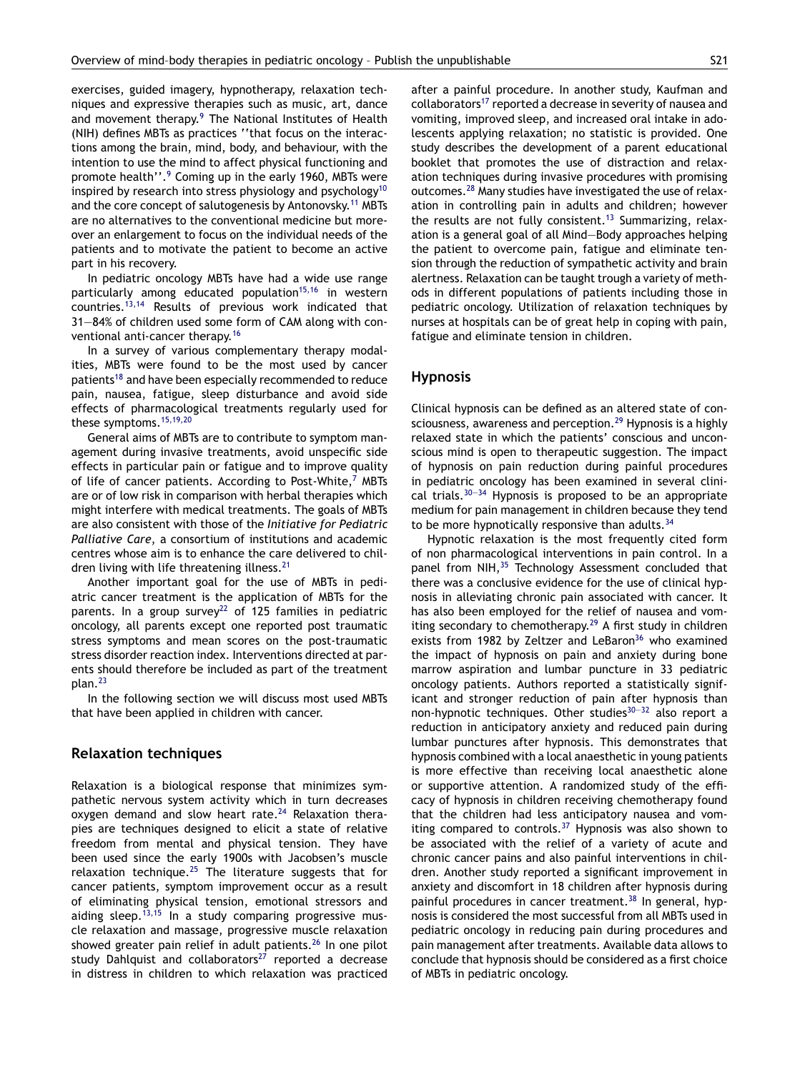exercises, guided imagery, hypnotherapy, relaxation techniques and expressive therapies such as music, art, dance and movement therapy.<sup>[9](#page-4-0)</sup> The National Institutes of Health (NIH) defines MBTs as practices ''that focus on the interactions among the brain, mind, body, and behaviour, with the intention to use the mind to affect physical functioning and promote health".<sup>[9](#page-4-0)</sup> Coming up in the early 1960, MBTs were inspired by research into stress physiology and psychology<sup>[10](#page-4-0)</sup> and the core concept of salutogenesis by Antonovsky.<sup>[11](#page-4-0)</sup> MBTs are no alternatives to the conventional medicine but moreover an enlargement to focus on the individual needs of the patients and to motivate the patient to become an active part in his recovery.

In pediatric oncology MBTs have had a wide use range particularly among educated population<sup>[15,16](#page-4-0)</sup> in western countries.[13,14](#page-4-0) Results of previous work indicated that 31—84% of children used some form of CAM along with conventional anti-cancer therapy.[16](#page-4-0)

In a survey of various complementary therapy modalities, MBTs were found to be the most used by cancer patients<sup>[18](#page-4-0)</sup> and have been especially recommended to reduce pain, nausea, fatigue, sleep disturbance and avoid side effects of pharmacological treatments regularly used for these symptoms.[15,19,20](#page-4-0)

General aims of MBTs are to contribute to symptom management during invasive treatments, avoid unspecific side effects in particular pain or fatigue and to improve quality of life of cancer patients. According to Post-White,<sup>[7](#page-4-0)</sup> MBTs are or of low risk in comparison with herbal therapies which might interfere with medical treatments. The goals of MBTs are also consistent with those of the *Initiative for Pediatric Palliative Care*, a consortium of institutions and academic centres whose aim is to enhance the care delivered to chil-dren living with life threatening illness.<sup>[21](#page-4-0)</sup>

Another important goal for the use of MBTs in pediatric cancer treatment is the application of MBTs for the parents. In a group survey<sup>[22](#page-4-0)</sup> of 125 families in pediatric oncology, all parents except one reported post traumatic stress symptoms and mean scores on the post-traumatic stress disorder reaction index. Interventions directed at parents should therefore be included as part of the treatment plan.[23](#page-4-0)

In the following section we will discuss most used MBTs that have been applied in children with cancer.

# **Relaxation techniques**

Relaxation is a biological response that minimizes sympathetic nervous system activity which in turn decreases oxygen demand and slow heart rate. $24$  Relaxation therapies are techniques designed to elicit a state of relative freedom from mental and physical tension. They have been used since the early 1900s with Jacobsen's muscle relaxation technique.<sup>[25](#page-4-0)</sup> The literature suggests that for cancer patients, symptom improvement occur as a result of eliminating physical tension, emotional stressors and aiding sleep. $13,15$  In a study comparing progressive muscle relaxation and massage, progressive muscle relaxation showed greater pain relief in adult patients.<sup>[26](#page-4-0)</sup> In one pilot study Dahlquist and collaborators $27$  reported a decrease in distress in children to which relaxation was practiced after a painful procedure. In another study, Kaufman and collaborators<sup>[17](#page-4-0)</sup> reported a decrease in severity of nausea and vomiting, improved sleep, and increased oral intake in adolescents applying relaxation; no statistic is provided. One study describes the development of a parent educational booklet that promotes the use of distraction and relaxation techniques during invasive procedures with promising outcomes.[28](#page-4-0) Many studies have investigated the use of relaxation in controlling pain in adults and children; however the results are not fully consistent.<sup>[13](#page-4-0)</sup> Summarizing, relaxation is a general goal of all Mind—Body approaches helping the patient to overcome pain, fatigue and eliminate tension through the reduction of sympathetic activity and brain alertness. Relaxation can be taught trough a variety of methods in different populations of patients including those in pediatric oncology. Utilization of relaxation techniques by nurses at hospitals can be of great help in coping with pain, fatigue and eliminate tension in children.

## **Hypnosis**

Clinical hypnosis can be defined as an altered state of con-sciousness, awareness and perception.<sup>[29](#page-4-0)</sup> Hypnosis is a highly relaxed state in which the patients' conscious and unconscious mind is open to therapeutic suggestion. The impact of hypnosis on pain reduction during painful procedures in pediatric oncology has been examined in several clinical trials. $30-34$  Hypnosis is proposed to be an appropriate medium for pain management in children because they tend to be more hypnotically responsive than adults. $34$ 

Hypnotic relaxation is the most frequently cited form of non pharmacological interventions in pain control. In a panel from NIH,<sup>[35](#page-4-0)</sup> Technology Assessment concluded that there was a conclusive evidence for the use of clinical hypnosis in alleviating chronic pain associated with cancer. It has also been employed for the relief of nausea and vom-iting secondary to chemotherapy.<sup>[29](#page-4-0)</sup> A first study in children exists from 1982 by Zeltzer and LeBaron<sup>[36](#page-5-0)</sup> who examined the impact of hypnosis on pain and anxiety during bone marrow aspiration and lumbar puncture in 33 pediatric oncology patients. Authors reported a statistically significant and stronger reduction of pain after hypnosis than non-hypnotic techniques. Other studies $30-32$  also report a reduction in anticipatory anxiety and reduced pain during lumbar punctures after hypnosis. This demonstrates that hypnosis combined with a local anaesthetic in young patients is more effective than receiving local anaesthetic alone or supportive attention. A randomized study of the efficacy of hypnosis in children receiving chemotherapy found that the children had less anticipatory nausea and vomiting compared to controls. $37$  Hypnosis was also shown to be associated with the relief of a variety of acute and chronic cancer pains and also painful interventions in children. Another study reported a significant improvement in anxiety and discomfort in 18 children after hypnosis during painful procedures in cancer treatment.<sup>[38](#page-5-0)</sup> In general, hypnosis is considered the most successful from all MBTs used in pediatric oncology in reducing pain during procedures and pain management after treatments. Available data allows to conclude that hypnosis should be considered as a first choice of MBTs in pediatric oncology.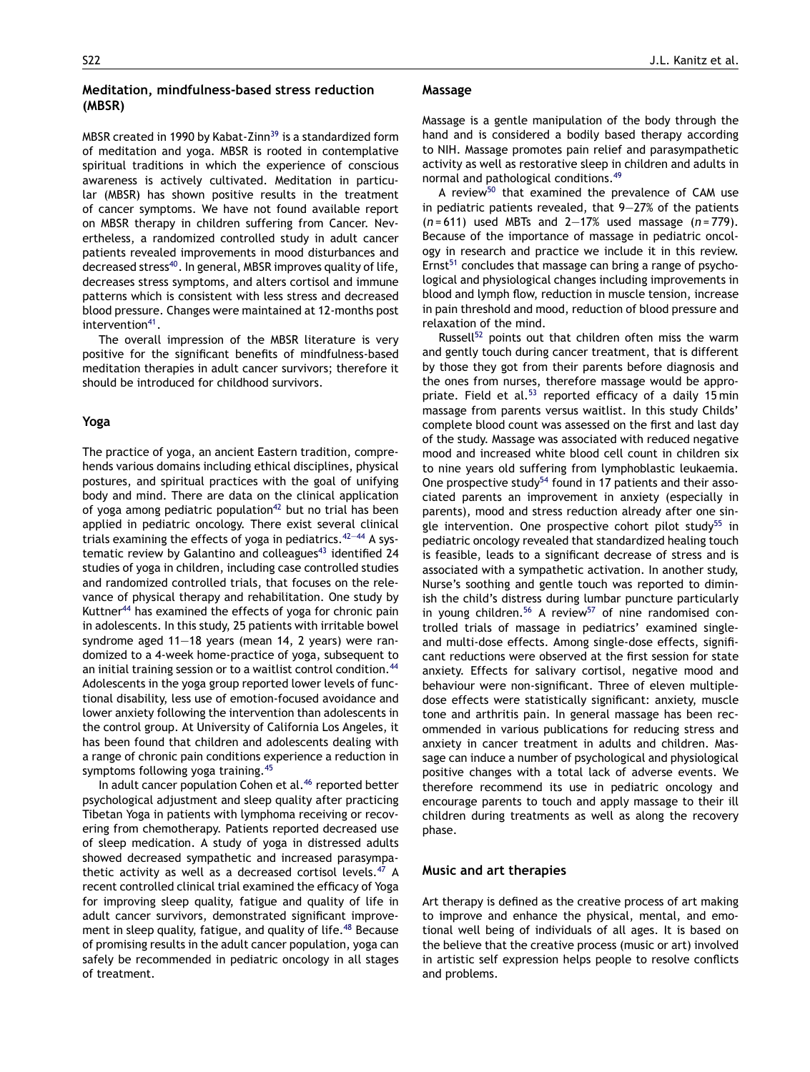## **Meditation, mindfulness-based stress reduction (MBSR)**

MBSR created in 1990 by Kabat-Zinn<sup>[39](#page-5-0)</sup> is a standardized form of meditation and yoga. MBSR is rooted in contemplative spiritual traditions in which the experience of conscious awareness is actively cultivated. Meditation in particular (MBSR) has shown positive results in the treatment of cancer symptoms. We have not found available report on MBSR therapy in children suffering from Cancer. Nevertheless, a randomized controlled study in adult cancer patients revealed improvements in mood disturbances and decreased stress<sup>40</sup>. In general, MBSR improves quality of life, decreases stress symptoms, and alters cortisol and immune patterns which is consistent with less stress and decreased blood pressure. Changes were maintained at 12-months post intervention<sup>41</sup>.

The overall impression of the MBSR literature is very positive for the significant benefits of mindfulness-based meditation therapies in adult cancer survivors; therefore it should be introduced for childhood survivors.

#### **Yoga**

The practice of yoga, an ancient Eastern tradition, comprehends various domains including ethical disciplines, physical postures, and spiritual practices with the goal of unifying body and mind. There are data on the clinical application of yoga among pediatric population $42$  but no trial has been applied in pediatric oncology. There exist several clinical trials examining the effects of yoga in pediatrics.  $42-44$  A systematic review by Galantino and colleagues $43$  identified 24 studies of yoga in children, including case controlled studies and randomized controlled trials, that focuses on the relevance of physical therapy and rehabilitation. One study by Kuttner<sup>[44](#page-5-0)</sup> has examined the effects of yoga for chronic pain in adolescents. In this study, 25 patients with irritable bowel syndrome aged 11—18 years (mean 14, 2 years) were randomized to a 4-week home-practice of yoga, subsequent to an initial training session or to a waitlist control condition.<sup>[44](#page-5-0)</sup> Adolescents in the yoga group reported lower levels of functional disability, less use of emotion-focused avoidance and lower anxiety following the intervention than adolescents in the control group. At University of California Los Angeles, it has been found that children and adolescents dealing with a range of chronic pain conditions experience a reduction in symptoms following yoga training.[45](#page-5-0)

In adult cancer population Cohen et al.<sup>[46](#page-5-0)</sup> reported better psychological adjustment and sleep quality after practicing Tibetan Yoga in patients with lymphoma receiving or recovering from chemotherapy. Patients reported decreased use of sleep medication. A study of yoga in distressed adults showed decreased sympathetic and increased parasympa-thetic activity as well as a decreased cortisol levels.<sup>[47](#page-5-0)</sup> A recent controlled clinical trial examined the efficacy of Yoga for improving sleep quality, fatigue and quality of life in adult cancer survivors, demonstrated significant improve-ment in sleep quality, fatigue, and quality of life.<sup>[48](#page-5-0)</sup> Because of promising results in the adult cancer population, yoga can safely be recommended in pediatric oncology in all stages of treatment.

#### **Massage**

Massage is a gentle manipulation of the body through the hand and is considered a bodily based therapy according to NIH. Massage promotes pain relief and parasympathetic activity as well as restorative sleep in children and adults in normal and pathological conditions.[49](#page-5-0)

A review<sup>[50](#page-5-0)</sup> that examined the prevalence of CAM use in pediatric patients revealed, that 9—27% of the patients (*n* = 611) used MBTs and 2—17% used massage (*n* = 779). Because of the importance of massage in pediatric oncology in research and practice we include it in this review. Ernst $51$  concludes that massage can bring a range of psychological and physiological changes including improvements in blood and lymph flow, reduction in muscle tension, increase in pain threshold and mood, reduction of blood pressure and relaxation of the mind.

Russell<sup>[52](#page-5-0)</sup> points out that children often miss the warm and gently touch during cancer treatment, that is different by those they got from their parents before diagnosis and the ones from nurses, therefore massage would be appro-priate. Field et al.<sup>[53](#page-5-0)</sup> reported efficacy of a daily 15 min massage from parents versus waitlist. In this study Childs' complete blood count was assessed on the first and last day of the study. Massage was associated with reduced negative mood and increased white blood cell count in children six to nine years old suffering from lymphoblastic leukaemia. One prospective study<sup>[54](#page-5-0)</sup> found in 17 patients and their associated parents an improvement in anxiety (especially in parents), mood and stress reduction already after one sin-gle intervention. One prospective cohort pilot study<sup>[55](#page-5-0)</sup> in pediatric oncology revealed that standardized healing touch is feasible, leads to a significant decrease of stress and is associated with a sympathetic activation. In another study, Nurse's soothing and gentle touch was reported to diminish the child's distress during lumbar puncture particularly in young children.<sup>[56](#page-5-0)</sup> A review<sup>[57](#page-5-0)</sup> of nine randomised controlled trials of massage in pediatrics' examined singleand multi-dose effects. Among single-dose effects, significant reductions were observed at the first session for state anxiety. Effects for salivary cortisol, negative mood and behaviour were non-significant. Three of eleven multipledose effects were statistically significant: anxiety, muscle tone and arthritis pain. In general massage has been recommended in various publications for reducing stress and anxiety in cancer treatment in adults and children. Massage can induce a number of psychological and physiological positive changes with a total lack of adverse events. We therefore recommend its use in pediatric oncology and encourage parents to touch and apply massage to their ill children during treatments as well as along the recovery phase.

#### **Music and art therapies**

Art therapy is defined as the creative process of art making to improve and enhance the physical, mental, and emotional well being of individuals of all ages. It is based on the believe that the creative process (music or art) involved in artistic self expression helps people to resolve conflicts and problems.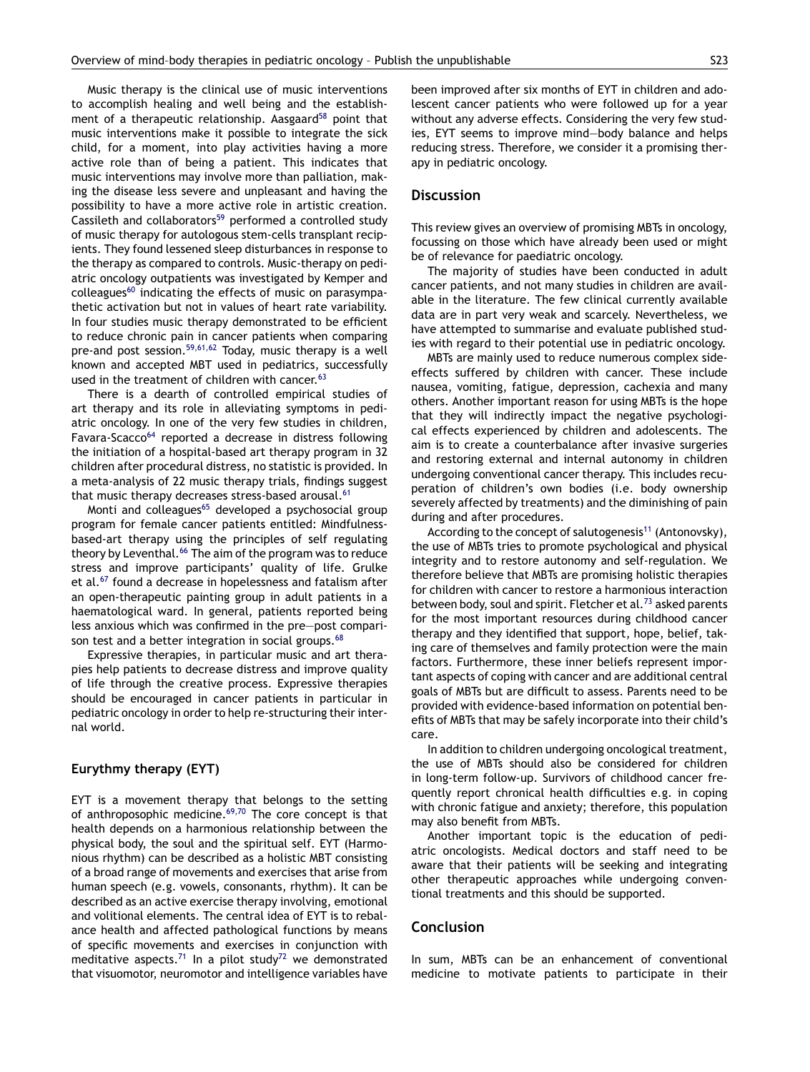Music therapy is the clinical use of music interventions to accomplish healing and well being and the establish-ment of a therapeutic relationship. Aasgaard<sup>[58](#page-5-0)</sup> point that music interventions make it possible to integrate the sick child, for a moment, into play activities having a more active role than of being a patient. This indicates that music interventions may involve more than palliation, making the disease less severe and unpleasant and having the possibility to have a more active role in artistic creation. Cassileth and collaborators<sup>[59](#page-5-0)</sup> performed a controlled study of music therapy for autologous stem-cells transplant recipients. They found lessened sleep disturbances in response to the therapy as compared to controls. Music-therapy on pediatric oncology outpatients was investigated by Kemper and colleagues<sup>[60](#page-5-0)</sup> indicating the effects of music on parasympathetic activation but not in values of heart rate variability. In four studies music therapy demonstrated to be efficient to reduce chronic pain in cancer patients when comparing pre-and post session.<sup>[59,61,62](#page-5-0)</sup> Today, music therapy is a well known and accepted MBT used in pediatrics, successfully used in the treatment of children with cancer. $63$ 

There is a dearth of controlled empirical studies of art therapy and its role in alleviating symptoms in pediatric oncology. In one of the very few studies in children, Favara-Scacco<sup>[64](#page-5-0)</sup> reported a decrease in distress following the initiation of a hospital-based art therapy program in 32 children after procedural distress, no statistic is provided. In a meta-analysis of 22 music therapy trials, findings suggest that music therapy decreases stress-based arousal.<sup>[61](#page-5-0)</sup>

Monti and colleagues<sup>[65](#page-5-0)</sup> developed a psychosocial group program for female cancer patients entitled: Mindfulnessbased-art therapy using the principles of self regulating theory by Leventhal.<sup>[66](#page-5-0)</sup> The aim of the program was to reduce stress and improve participants' quality of life. Grulke et al.<sup>[67](#page-5-0)</sup> found a decrease in hopelessness and fatalism after an open-therapeutic painting group in adult patients in a haematological ward. In general, patients reported being less anxious which was confirmed in the pre—post compari-son test and a better integration in social groups.<sup>[68](#page-5-0)</sup>

Expressive therapies, in particular music and art therapies help patients to decrease distress and improve quality of life through the creative process. Expressive therapies should be encouraged in cancer patients in particular in pediatric oncology in order to help re-structuring their internal world.

## **Eurythmy therapy (EYT)**

EYT is a movement therapy that belongs to the setting of anthroposophic medicine.<sup>[69,70](#page-5-0)</sup> The core concept is that health depends on a harmonious relationship between the physical body, the soul and the spiritual self. EYT (Harmonious rhythm) can be described as a holistic MBT consisting of a broad range of movements and exercises that arise from human speech (e.g. vowels, consonants, rhythm). It can be described as an active exercise therapy involving, emotional and volitional elements. The central idea of EYT is to rebalance health and affected pathological functions by means of specific movements and exercises in conjunction with meditative aspects.<sup>[71](#page-5-0)</sup> In a pilot study<sup>[72](#page-5-0)</sup> we demonstrated that visuomotor, neuromotor and intelligence variables have been improved after six months of EYT in children and adolescent cancer patients who were followed up for a year without any adverse effects. Considering the very few studies, EYT seems to improve mind—body balance and helps reducing stress. Therefore, we consider it a promising therapy in pediatric oncology.

#### **Discussion**

This review gives an overview of promising MBTs in oncology, focussing on those which have already been used or might be of relevance for paediatric oncology.

The majority of studies have been conducted in adult cancer patients, and not many studies in children are available in the literature. The few clinical currently available data are in part very weak and scarcely. Nevertheless, we have attempted to summarise and evaluate published studies with regard to their potential use in pediatric oncology.

MBTs are mainly used to reduce numerous complex sideeffects suffered by children with cancer. These include nausea, vomiting, fatigue, depression, cachexia and many others. Another important reason for using MBTs is the hope that they will indirectly impact the negative psychological effects experienced by children and adolescents. The aim is to create a counterbalance after invasive surgeries and restoring external and internal autonomy in children undergoing conventional cancer therapy. This includes recuperation of children's own bodies (i.e. body ownership severely affected by treatments) and the diminishing of pain during and after procedures.

According to the concept of salutogenesis<sup>[11](#page-4-0)</sup> (Antonovsky), the use of MBTs tries to promote psychological and physical integrity and to restore autonomy and self-regulation. We therefore believe that MBTs are promising holistic therapies for children with cancer to restore a harmonious interaction between body, soul and spirit. Fletcher et al.<sup>[73](#page-5-0)</sup> asked parents for the most important resources during childhood cancer therapy and they identified that support, hope, belief, taking care of themselves and family protection were the main factors. Furthermore, these inner beliefs represent important aspects of coping with cancer and are additional central goals of MBTs but are difficult to assess. Parents need to be provided with evidence-based information on potential benefits of MBTs that may be safely incorporate into their child's care.

In addition to children undergoing oncological treatment, the use of MBTs should also be considered for children in long-term follow-up. Survivors of childhood cancer frequently report chronical health difficulties e.g. in coping with chronic fatigue and anxiety; therefore, this population may also benefit from MBTs.

Another important topic is the education of pediatric oncologists. Medical doctors and staff need to be aware that their patients will be seeking and integrating other therapeutic approaches while undergoing conventional treatments and this should be supported.

### **Conclusion**

In sum, MBTs can be an enhancement of conventional medicine to motivate patients to participate in their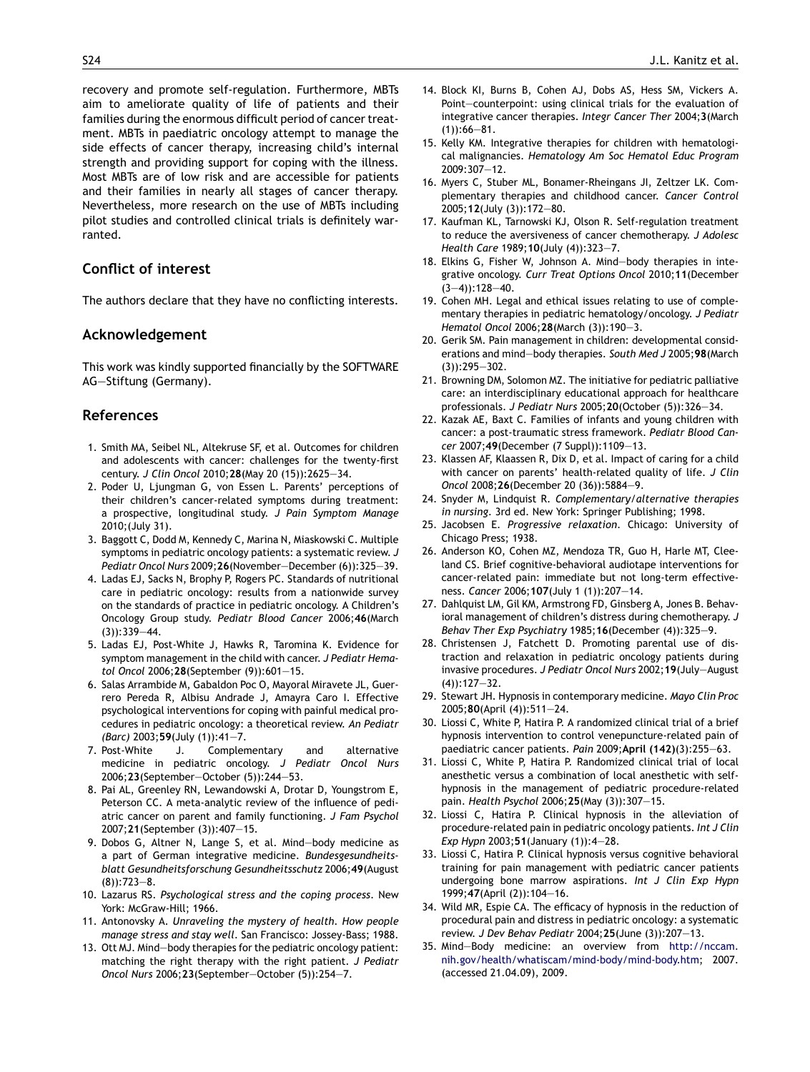<span id="page-4-0"></span>recovery and promote self-regulation. Furthermore, MBTs aim to ameliorate quality of life of patients and their families during the enormous difficult period of cancer treatment. MBTs in paediatric oncology attempt to manage the side effects of cancer therapy, increasing child's internal strength and providing support for coping with the illness. Most MBTs are of low risk and are accessible for patients and their families in nearly all stages of cancer therapy. Nevertheless, more research on the use of MBTs including pilot studies and controlled clinical trials is definitely warranted.

# **Conflict of interest**

The authors declare that they have no conflicting interests.

## **Acknowledgement**

This work was kindly supported financially by the SOFTWARE AG—Stiftung (Germany).

## **References**

- 1. Smith MA, Seibel NL, Altekruse SF, et al. Outcomes for children and adolescents with cancer: challenges for the twenty-first century. *J Clin Oncol* 2010;**28**(May 20 (15)):2625—34.
- 2. Poder U, Ljungman G, von Essen L. Parents' perceptions of their children's cancer-related symptoms during treatment: a prospective, longitudinal study. *J Pain Symptom Manage* 2010;(July 31).
- 3. Baggott C, Dodd M, Kennedy C, Marina N, Miaskowski C. Multiple symptoms in pediatric oncology patients: a systematic review. *J Pediatr Oncol Nurs* 2009;**26**(November—December (6)):325—39.
- 4. Ladas EJ, Sacks N, Brophy P, Rogers PC. Standards of nutritional care in pediatric oncology: results from a nationwide survey on the standards of practice in pediatric oncology. A Children's Oncology Group study. *Pediatr Blood Cancer* 2006;**46**(March (3)):339—44.
- 5. Ladas EJ, Post-White J, Hawks R, Taromina K. Evidence for symptom management in the child with cancer. *J Pediatr Hematol Oncol* 2006;**28**(September (9)):601—15.
- 6. Salas Arrambide M, Gabaldon Poc O, Mayoral Miravete JL, Guerrero Pereda R, Albisu Andrade J, Amayra Caro I. Effective psychological interventions for coping with painful medical procedures in pediatric oncology: a theoretical review. *An Pediatr (Barc)* 2003;**59**(July (1)):41—7.
- 7. Post-White J. Complementary and alternative medicine in pediatric oncology. *J Pediatr Oncol Nurs* 2006;**23**(September—October (5)):244—53.
- 8. Pai AL, Greenley RN, Lewandowski A, Drotar D, Youngstrom E, Peterson CC. A meta-analytic review of the influence of pediatric cancer on parent and family functioning. *J Fam Psychol* 2007;**21**(September (3)):407—15.
- 9. Dobos G, Altner N, Lange S, et al. Mind—body medicine as a part of German integrative medicine. *Bundesgesundheitsblatt Gesundheitsforschung Gesundheitsschutz* 2006;**49**(August (8)):723—8.
- 10. Lazarus RS. *Psychological stress and the coping process*. New York: McGraw-Hill; 1966.
- 11. Antonovsky A. *Unraveling the mystery of health. How people manage stress and stay well*. San Francisco: Jossey-Bass; 1988.
- 13. Ott MJ. Mind—body therapies for the pediatric oncology patient: matching the right therapy with the right patient. *J Pediatr Oncol Nurs* 2006;**23**(September—October (5)):254—7.
- 14. Block KI, Burns B, Cohen AJ, Dobs AS, Hess SM, Vickers A. Point—counterpoint: using clinical trials for the evaluation of integrative cancer therapies. *Integr Cancer Ther* 2004;**3**(March  $(1)$ :66-81.
- 15. Kelly KM. Integrative therapies for children with hematological malignancies. *Hematology Am Soc Hematol Educ Program* 2009:307—12.
- 16. Myers C, Stuber ML, Bonamer-Rheingans JI, Zeltzer LK. Complementary therapies and childhood cancer. *Cancer Control* 2005;**12**(July (3)):172—80.
- 17. Kaufman KL, Tarnowski KJ, Olson R. Self-regulation treatment to reduce the aversiveness of cancer chemotherapy. *J Adolesc Health Care* 1989;**10**(July (4)):323—7.
- 18. Elkins G, Fisher W, Johnson A. Mind—body therapies in integrative oncology. *Curr Treat Options Oncol* 2010;**11**(December  $(3-4)$ : 128-40.
- 19. Cohen MH. Legal and ethical issues relating to use of complementary therapies in pediatric hematology/oncology. *J Pediatr Hematol Oncol* 2006;**28**(March (3)):190—3.
- 20. Gerik SM. Pain management in children: developmental considerations and mind—body therapies. *South Med J* 2005;**98**(March (3)):295—302.
- 21. Browning DM, Solomon MZ. The initiative for pediatric palliative care: an interdisciplinary educational approach for healthcare professionals. *J Pediatr Nurs* 2005;**20**(October (5)):326—34.
- 22. Kazak AE, Baxt C. Families of infants and young children with cancer: a post-traumatic stress framework. *Pediatr Blood Cancer* 2007;**49**(December (7 Suppl)):1109—13.
- 23. Klassen AF, Klaassen R, Dix D, et al. Impact of caring for a child with cancer on parents' health-related quality of life. *J Clin Oncol* 2008;**26**(December 20 (36)):5884—9.
- 24. Snyder M, Lindquist R. *Complementary/alternative therapies in nursing*. 3rd ed. New York: Springer Publishing; 1998.
- 25. Jacobsen E. *Progressive relaxation*. Chicago: University of Chicago Press; 1938.
- 26. Anderson KO, Cohen MZ, Mendoza TR, Guo H, Harle MT, Cleeland CS. Brief cognitive-behavioral audiotape interventions for cancer-related pain: immediate but not long-term effectiveness. *Cancer* 2006;**107**(July 1 (1)):207—14.
- 27. Dahlquist LM, Gil KM, Armstrong FD, Ginsberg A, Jones B. Behavioral management of children's distress during chemotherapy. *J Behav Ther Exp Psychiatry* 1985;**16**(December (4)):325—9.
- 28. Christensen J, Fatchett D. Promoting parental use of distraction and relaxation in pediatric oncology patients during invasive procedures. *J Pediatr Oncol Nurs* 2002;**19**(July—August (4)):127—32.
- 29. Stewart JH. Hypnosis in contemporary medicine. *Mayo Clin Proc* 2005;**80**(April (4)):511—24.
- 30. Liossi C, White P, Hatira P. A randomized clinical trial of a brief hypnosis intervention to control venepuncture-related pain of paediatric cancer patients. *Pain* 2009;**April (142)**(3):255—63.
- 31. Liossi C, White P, Hatira P. Randomized clinical trial of local anesthetic versus a combination of local anesthetic with selfhypnosis in the management of pediatric procedure-related pain. *Health Psychol* 2006;**25**(May (3)):307—15.
- 32. Liossi C, Hatira P. Clinical hypnosis in the alleviation of procedure-related pain in pediatric oncology patients. *Int J Clin Exp Hypn* 2003;**51**(January (1)):4—28.
- 33. Liossi C, Hatira P. Clinical hypnosis versus cognitive behavioral training for pain management with pediatric cancer patients undergoing bone marrow aspirations. *Int J Clin Exp Hypn* 1999;**47**(April (2)):104—16.
- 34. Wild MR, Espie CA. The efficacy of hypnosis in the reduction of procedural pain and distress in pediatric oncology: a systematic review. *J Dev Behav Pediatr* 2004;**25**(June (3)):207—13.
- 35. Mind—Body medicine: an overview from [http://nccam.](http://nccam.nih.gov/health/whatiscam/mind-body/mind-body.htm) [nih.gov/health/whatiscam/mind-body/mind-body.htm](http://nccam.nih.gov/health/whatiscam/mind-body/mind-body.htm); 2007. (accessed 21.04.09), 2009.